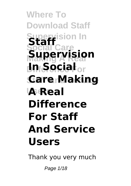**Where To Download Staff Supervision In Social Care Making A Real Supervision Difference For In Social Gare Making<br>A Real La**Real **Staff Difference For Staff And Service Users**

Thank you very much

Page  $1/18$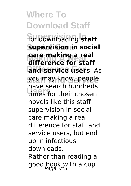**Where To Download Staff** for downloading **staff Supervision in social Making A Real difference for staff and service users**. As **Staff And Service** you may know, people **Users** times for their chosen **care making a real** have search hundreds novels like this staff supervision in social care making a real difference for staff and service users, but end up in infectious downloads. Rather than reading a good book with a cup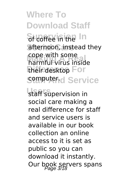**Where To Download Staff** St coffee in the In afternoon, instead they cope with some<br>harmful virus inside their desktop For Somputer.d Service cope with some

staff supervision in social care making a real difference for staff and service users is available in our book collection an online access to it is set as public so you can download it instantly. Our book servers spans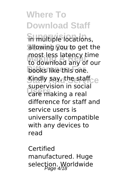**Where To Download Staff in multiple locations,** allowing you to get the **Making A Real** to download any of our books like this one. **Staff And Service** Kindly say, the staff **Users** making a real most less latency time supervision in social difference for staff and service users is universally compatible with any devices to read

Certified manufactured. Huge selection. Worldwide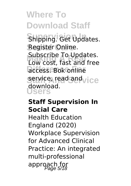**Where To Download Staff** Shipping. Get Updates. **Social Care** Register Online. Subscribe To Opdates.<br>Low cost, fast and free **Difference Society** service, read and vice **Users** Subscribe To Updates. download.

#### **Staff Supervision In Social Care**

Health Education England (2020) Workplace Supervision for Advanced Clinical Practice: An integrated multi-professional approach for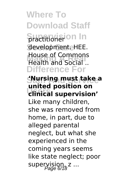**Where To Download Staff Sractitionarion In Social Care** development. HEE. **Making A Real** Health and Social .. **Difference For** House of Commons

#### **Staff And Service 'Nursing must take a Users clinical supervision' united position on**

Like many children, she was removed from home, in part, due to alleged parental neglect, but what she experienced in the coming years seems like state neglect; poor supervision,  $z$  ...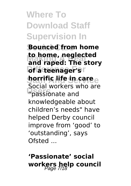# **Where To Download Staff Supervision In**

**Bounced from home to nome, neglected**<br>and raped: The story **Difateenagers**r **horrific life in caree Users** "passionate and **to home, neglected** Social workers who are knowledgeable about children's needs" have helped Derby council improve from 'good' to 'outstanding', says Ofsted ...

# **'Passionate' social workers help council**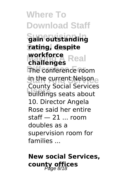**Where To Download Staff Supervision In gain outstanding Social Care rating, despite workforce**<br> **challenges**<br> **Real The conference room** in the current Nelsone **Users** buildings seats about **challenges** County Social Services 10. Director Angela Rose said her entire  $stat = 21...$  room doubles as a supervision room for families ...

## **New social Services, county offices**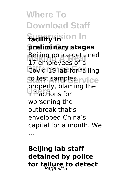**Where To Download Staff Facility in** longing **Social Care preliminary stages Making A Real** 17 employees of a **Covid-191ab for failing to test samples rvice Users** infractions for Beijing police detained properly, blaming the worsening the outbreak that's enveloped China's capital for a month. We

...

**Beijing lab staff detained by police for failure to detect** Page 9/18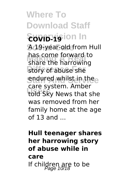**Where To Download Staff**  $\S$ **OVID-19** ion In **Social Care** A 19-year-old from Hull mas come forward to<br>share the harrowing story of abuse she sndured whilst in thee Late system. Allinch has come forward to care system. Amber was removed from her family home at the age  $of 13$  and  $.$ 

### **Hull teenager shares her harrowing story of abuse while in care** If children are to be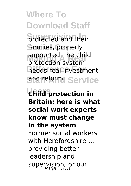**Where To Download Staff Srotected and their** families, properly supported, the child<br>protection system needs real investment **Send reform Service** supported, the child

**Users Child protection in Britain: here is what social work experts know must change in the system** Former social workers with Herefordshire ... providing better leadership and supervision for our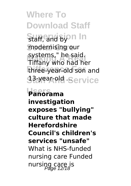**Where To Download Staff** Staff, and byon In modernising our systems, ne said.<br>Tiffany who had her three-year-old son and **33-year-old Service** systems," he said.

**Users Panorama investigation exposes "bullying" culture that made Herefordshire Council's children's services "unsafe"** What is NHS-funded nursing care Funded nursing care is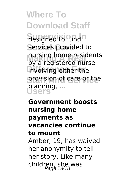**Where To Download Staff Sesigned to fund n** services provided to nursing home residents<br>hy a registered nurse involving either the **Staff And Service** provision of care or the **Users** planning, ... by a registered nurse

### **Government boosts nursing home payments as vacancies continue to mount** Amber, 19, has waived her anonymity to tell her story. Like many children, she was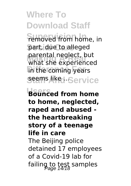**Where To Download Staff Femoved from home, in** part, due to alleged **Making A Real** what she experienced **Difference For** in the coming years Seems liked Service parental neglect, but

**Users Bounced from home to home, neglected, raped and abused the heartbreaking story of a teenage life in care** The Beijing police detained 17 employees of a Covid-19 lab for failing to test samples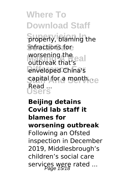**Where To Download Staff Sroperly, blaming the Social Care** infractions for **worsening the eal** enveloped China's **capital for a month.ce Users** outbreak that's Read ...

### **Beijing detains Covid lab staff it blames for worsening outbreak** Following an Ofsted inspection in December 2019, Middlesbrough's children's social care services were rated ...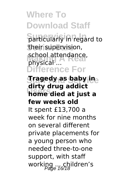**Where To Download Staff Sarticularly in regard to** their supervision, school attendance, **Difference For**  ${\bf \large{S}}$  **ragedy as baby** ine **Users home died at just a** physical ... **dirty drug addict few weeks old** It spent £13,700 a week for nine months on several different private placements for a young person who needed three-to-one support, with staff working ... children's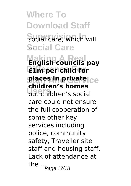**Where To Download Staff** Social care, which will Social Care **Making A Real English councils pay Difference For £1m per child for Staff And Service places in private Users**<br>
but children's social **children's homes** care could not ensure the full cooperation of some other key services including police, community safety, Traveller site staff and housing staff. Lack of attendance at the  $.0$ <sub>Page</sub> 17/18